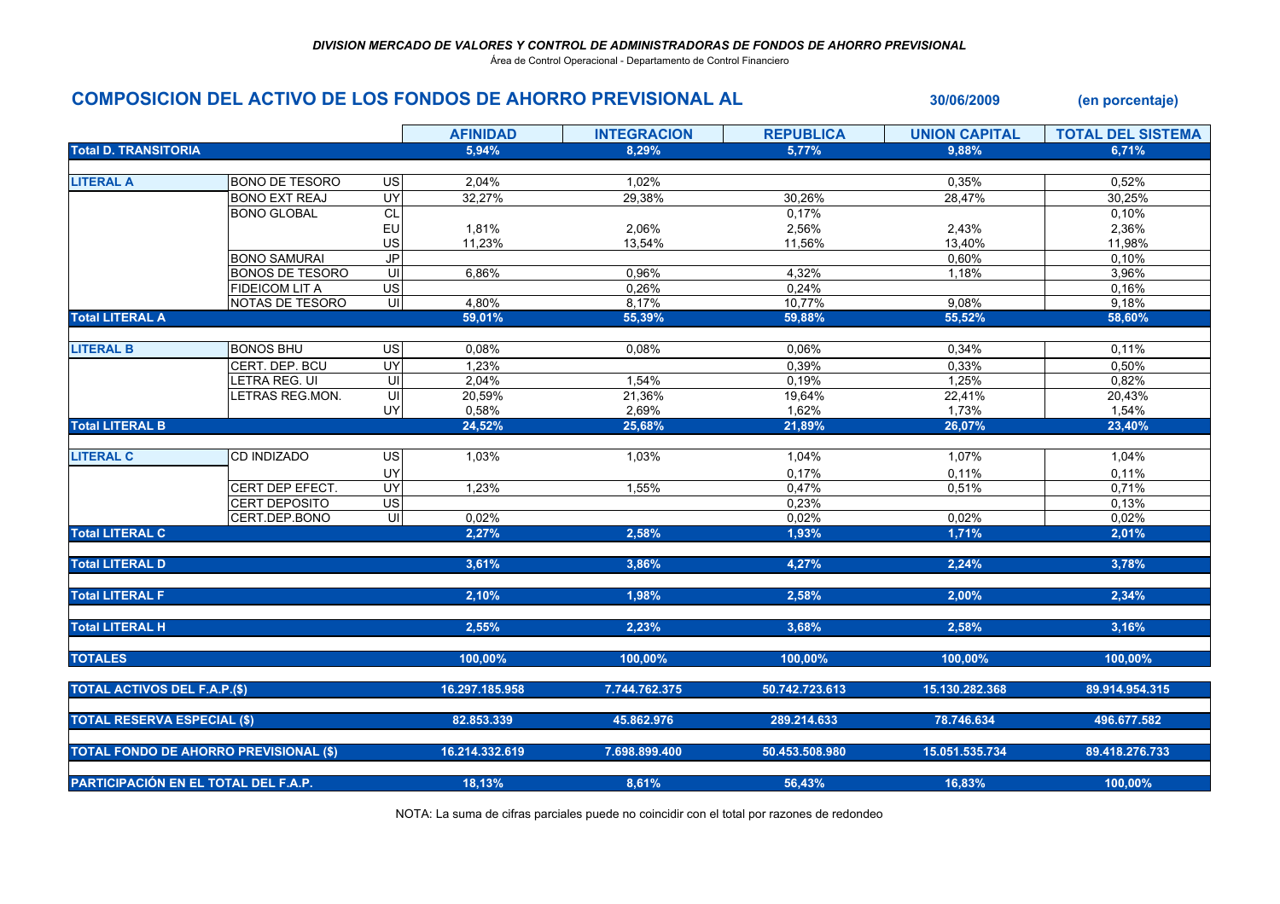Área de Control Operacional - Departamento de Control Financiero

## COMPOSICION DEL ACTIVO DE LOS FONDOS DE AHORRO PREVISIONAL AL 30/06/2009 (en porcentaje)

|                                               |                        |                         | <b>AFINIDAD</b> | <b>INTEGRACION</b> | <b>REPUBLICA</b> | <b>UNION CAPITAL</b> | <b>TOTAL DEL SISTEMA</b> |
|-----------------------------------------------|------------------------|-------------------------|-----------------|--------------------|------------------|----------------------|--------------------------|
| <b>Total D. TRANSITORIA</b>                   |                        |                         | 5,94%           | 8,29%              | 5,77%            | 9,88%                | 6,71%                    |
|                                               |                        |                         |                 |                    |                  |                      |                          |
| <b>LITERAL A</b>                              | <b>BONO DE TESORO</b>  | US                      | 2,04%           | 1,02%              |                  | 0,35%                | 0,52%                    |
|                                               | <b>BONO EXT REAJ</b>   | UY                      | 32,27%          | 29,38%             | 30,26%           | 28,47%               | 30,25%                   |
|                                               | <b>BONO GLOBAL</b>     | CL                      |                 |                    | 0,17%            |                      | 0,10%                    |
|                                               |                        | EU                      | 1,81%           | 2,06%              | 2,56%            | 2,43%                | 2,36%                    |
|                                               |                        | US                      | 11,23%          | 13,54%             | 11,56%           | 13,40%               | 11,98%                   |
|                                               | <b>BONO SAMURAI</b>    | JP                      |                 |                    |                  | 0,60%                | 0,10%                    |
|                                               | <b>BONOS DE TESORO</b> | UI                      | 6,86%           | 0,96%              | 4,32%            | 1,18%                | 3,96%                    |
|                                               | <b>FIDEICOM LIT A</b>  | $\overline{US}$         |                 | 0,26%              | 0,24%            |                      | 0,16%                    |
|                                               | NOTAS DE TESORO        | 宫                       | 4,80%           | 8,17%              | 10,77%           | 9,08%                | 9,18%                    |
| <b>Total LITERAL A</b>                        |                        |                         | 59,01%          | 55,39%             | 59,88%           | 55,52%               | 58,60%                   |
|                                               |                        |                         |                 |                    |                  |                      |                          |
| <b>LITERAL B</b>                              | <b>BONOS BHU</b>       | <b>US</b>               | 0,08%           | 0,08%              | 0,06%            | 0,34%                | 0,11%                    |
|                                               | CERT. DEP. BCU         | UY                      | 1,23%           |                    | 0,39%            | 0,33%                | 0,50%                    |
|                                               | LETRA REG. UI          | $\overline{\mathsf{u}}$ | 2,04%           | 1,54%              | 0,19%            | 1.25%                | 0,82%                    |
|                                               | LETRAS REG.MON.        | $\overline{\mathsf{C}}$ | 20,59%          | 21,36%             | 19,64%           | 22,41%               | 20,43%                   |
|                                               |                        | UY                      | 0,58%           | 2,69%              | 1,62%            | 1,73%                | 1,54%                    |
| <b>Total LITERAL B</b>                        |                        |                         | 24,52%          | 25,68%             | 21,89%           | 26,07%               | 23,40%                   |
|                                               |                        |                         |                 |                    |                  |                      |                          |
| <b>LITERAL C</b>                              | CD INDIZADO            | <b>US</b>               | 1,03%           | 1,03%              | 1,04%            | 1,07%                | 1,04%                    |
|                                               |                        | UY                      |                 |                    | 0,17%            | 0,11%                | 0,11%                    |
|                                               | CERT DEP EFECT.        | UY                      | 1,23%           | 1,55%              | 0,47%            | 0,51%                | 0,71%                    |
|                                               | <b>CERT DEPOSITO</b>   | $\overline{US}$         |                 |                    | 0,23%            |                      | 0,13%                    |
|                                               | CERT.DEP.BONO          | U                       | 0,02%           |                    | 0,02%            | 0,02%                | 0,02%                    |
| <b>Total LITERAL C</b>                        |                        |                         | 2.27%           | 2.58%              | 1,93%            | 1,71%                | 2,01%                    |
|                                               |                        |                         |                 |                    |                  |                      |                          |
| <b>Total LITERAL D</b>                        |                        |                         | 3,61%           | 3,86%              | 4,27%            | 2,24%                | 3,78%                    |
|                                               |                        |                         |                 |                    |                  |                      |                          |
| <b>Total LITERAL F</b>                        |                        |                         | 2,10%           | 1,98%              | 2,58%            | 2,00%                | 2,34%                    |
|                                               |                        |                         |                 |                    |                  |                      |                          |
| <b>Total LITERAL H</b>                        |                        |                         | 2,55%           | 2,23%              | 3,68%            | 2,58%                | 3,16%                    |
|                                               |                        |                         |                 |                    |                  |                      |                          |
| <b>TOTALES</b>                                |                        |                         | 100,00%         | 100,00%            | 100,00%          | 100,00%              | 100,00%                  |
|                                               |                        |                         |                 |                    |                  |                      |                          |
| <b>TOTAL ACTIVOS DEL F.A.P.(\$)</b>           |                        |                         | 16.297.185.958  | 7.744.762.375      | 50.742.723.613   | 15.130.282.368       | 89.914.954.315           |
|                                               |                        |                         |                 |                    |                  |                      |                          |
| <b>TOTAL RESERVA ESPECIAL (\$)</b>            |                        |                         | 82.853.339      | 45.862.976         | 289.214.633      | 78.746.634           | 496.677.582              |
|                                               |                        |                         |                 |                    |                  |                      |                          |
| <b>TOTAL FONDO DE AHORRO PREVISIONAL (\$)</b> |                        |                         | 16.214.332.619  | 7.698.899.400      | 50.453.508.980   | 15.051.535.734       | 89.418.276.733           |
|                                               |                        |                         |                 |                    |                  |                      |                          |
| PARTICIPACIÓN EN EL TOTAL DEL F.A.P.          |                        |                         | 18,13%          | 8,61%              | 56,43%           | 16,83%               | 100,00%                  |
|                                               |                        |                         |                 |                    |                  |                      |                          |

NOTA: La suma de cifras parciales puede no coincidir con el total por razones de redondeo